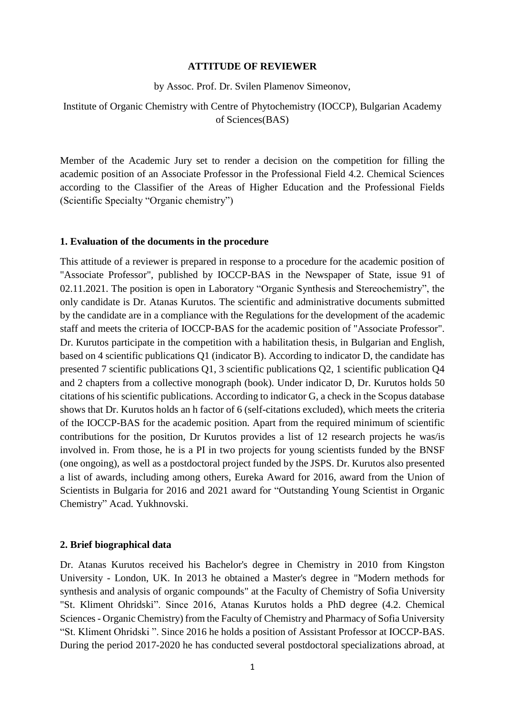### **ATTITUDE OF REVIEWER**

by Assoc. Prof. Dr. Svilen Plamenov Simeonov,

## Institute of Organic Chemistry with Centre of Phytochemistry (IOCCP), Bulgarian Academy of Sciences(BAS)

Member of the Academic Jury set to render a decision on the competition for filling the academic position of an Associate Professor in the Professional Field 4.2. Chemical Sciences according to the Classifier of the Areas of Higher Education and the Professional Fields (Scientific Specialty "Organic chemistry")

#### **1. Evaluation of the documents in the procedure**

This attitude of a reviewer is prepared in response to a procedure for the academic position of "Associate Professor", published by IOCCP-BAS in the Newspaper of State, issue 91 of 02.11.2021. The position is open in Laboratory "Organic Synthesis and Stereochemistry", the only candidate is Dr. Atanas Kurutos. The scientific and administrative documents submitted by the candidate are in a compliance with the Regulations for the development of the academic staff and meets the criteria of IOCCP-BAS for the academic position of "Associate Professor". Dr. Kurutos participate in the competition with a habilitation thesis, in Bulgarian and English, based on 4 scientific publications Q1 (indicator B). According to indicator D, the candidate has presented 7 scientific publications Q1, 3 scientific publications Q2, 1 scientific publication Q4 and 2 chapters from a collective monograph (book). Under indicator D, Dr. Kurutos holds 50 citations of his scientific publications. According to indicator G, a check in the Scopus database shows that Dr. Kurutos holds an h factor of 6 (self-citations excluded), which meets the criteria of the IOCCP-BAS for the academic position. Apart from the required minimum of scientific contributions for the position, Dr Kurutos provides a list of 12 research projects he was/is involved in. From those, he is a PI in two projects for young scientists funded by the BNSF (one ongoing), as well as a postdoctoral project funded by the JSPS. Dr. Kurutos also presented a list of awards, including among others, Eureka Award for 2016, award from the Union of Scientists in Bulgaria for 2016 and 2021 award for "Outstanding Young Scientist in Organic Chemistry" Acad. Yukhnovski.

#### **2. Brief biographical data**

Dr. Atanas Kurutos received his Bachelor's degree in Chemistry in 2010 from Kingston University - London, UK. In 2013 he obtained a Master's degree in "Modern methods for synthesis and analysis of organic compounds" at the Faculty of Chemistry of Sofia University "St. Kliment Ohridski". Since 2016, Atanas Kurutos holds a PhD degree (4.2. Chemical Sciences - Organic Chemistry) from the Faculty of Chemistry and Pharmacy of Sofia University "St. Kliment Ohridski ". Since 2016 he holds a position of Assistant Professor at IOCCP-BAS. During the period 2017-2020 he has conducted several postdoctoral specializations abroad, at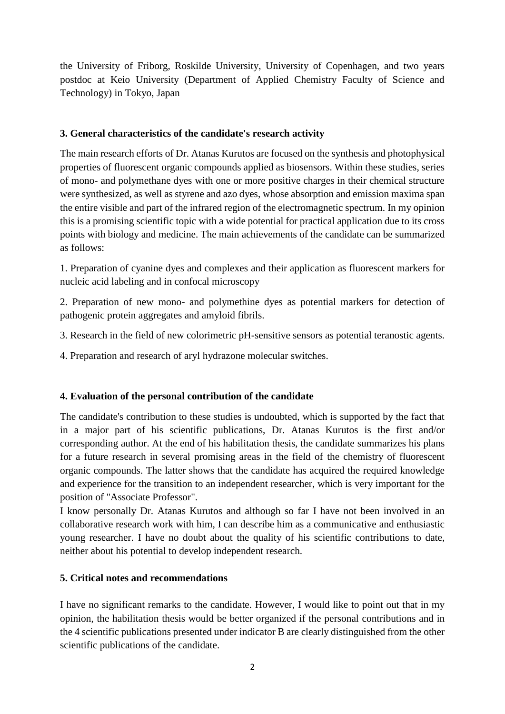the University of Friborg, Roskilde University, University of Copenhagen, and two years postdoc at Keio University (Department of Applied Chemistry Faculty of Science and Technology) in Tokyo, Japan

## **3. General characteristics of the candidate's research activity**

The main research efforts of Dr. Atanas Kurutos are focused on the synthesis and photophysical properties of fluorescent organic compounds applied as biosensors. Within these studies, series of mono- and polymethane dyes with one or more positive charges in their chemical structure were synthesized, as well as styrene and azo dyes, whose absorption and emission maxima span the entire visible and part of the infrared region of the electromagnetic spectrum. In my opinion this is a promising scientific topic with a wide potential for practical application due to its cross points with biology and medicine. The main achievements of the candidate can be summarized as follows:

1. Preparation of cyanine dyes and complexes and their application as fluorescent markers for nucleic acid labeling and in confocal microscopy

2. Preparation of new mono- and polymethine dyes as potential markers for detection of pathogenic protein aggregates and amyloid fibrils.

3. Research in the field of new colorimetric pH-sensitive sensors as potential teranostic agents.

4. Preparation and research of aryl hydrazone molecular switches.

# **4. Evaluation of the personal contribution of the candidate**

The candidate's contribution to these studies is undoubted, which is supported by the fact that in a major part of his scientific publications, Dr. Atanas Kurutos is the first and/or corresponding author. At the end of his habilitation thesis, the candidate summarizes his plans for a future research in several promising areas in the field of the chemistry of fluorescent organic compounds. The latter shows that the candidate has acquired the required knowledge and experience for the transition to an independent researcher, which is very important for the position of "Associate Professor".

I know personally Dr. Atanas Kurutos and although so far I have not been involved in an collaborative research work with him, I can describe him as a communicative and enthusiastic young researcher. I have no doubt about the quality of his scientific contributions to date, neither about his potential to develop independent research.

# **5. Critical notes and recommendations**

I have no significant remarks to the candidate. However, I would like to point out that in my opinion, the habilitation thesis would be better organized if the personal contributions and in the 4 scientific publications presented under indicator B are clearly distinguished from the other scientific publications of the candidate.